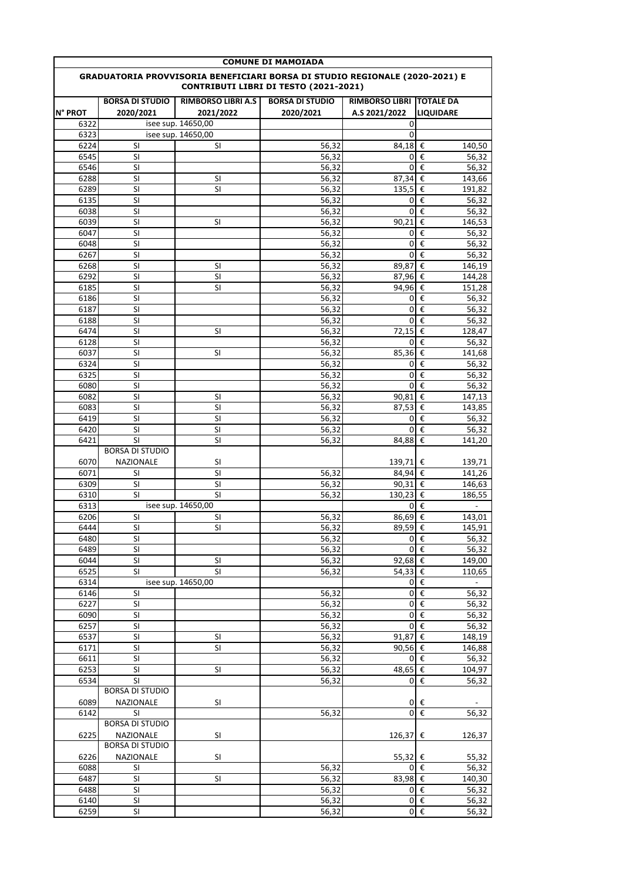| <b>COMUNE DI MAMOIADA</b>                                                                                            |                                            |                           |                        |                       |                                      |  |  |  |  |
|----------------------------------------------------------------------------------------------------------------------|--------------------------------------------|---------------------------|------------------------|-----------------------|--------------------------------------|--|--|--|--|
| GRADUATORIA PROVVISORIA BENEFICIARI BORSA DI STUDIO REGIONALE (2020-2021) E<br>CONTRIBUTI LIBRI DI TESTO (2021-2021) |                                            |                           |                        |                       |                                      |  |  |  |  |
|                                                                                                                      | <b>BORSA DI STUDIO</b>                     | <b>RIMBORSO LIBRI A.S</b> | <b>BORSA DI STUDIO</b> | <b>RIMBORSO LIBRI</b> | <b>TOTALE DA</b>                     |  |  |  |  |
| <b>N° PROT</b>                                                                                                       | 2020/2021                                  | 2021/2022                 | 2020/2021              | A.S 2021/2022         | <b>LIQUIDARE</b>                     |  |  |  |  |
| 6322                                                                                                                 |                                            | isee sup. 14650,00        |                        | 0                     |                                      |  |  |  |  |
| 6323                                                                                                                 |                                            | isee sup. 14650,00        |                        | 0                     |                                      |  |  |  |  |
| 6224                                                                                                                 | SI                                         | SI                        | 56,32                  | 84,18                 | €<br>140,50                          |  |  |  |  |
| 6545                                                                                                                 | SI                                         |                           | 56,32                  | 0                     | $\overline{\epsilon}$<br>56,32       |  |  |  |  |
| 6546                                                                                                                 | SI                                         |                           | 56,32                  | 0                     | $\overline{\epsilon}$<br>56,32       |  |  |  |  |
| 6288                                                                                                                 | SI                                         | SI                        | 56,32                  | 87,34                 | €<br>143,66                          |  |  |  |  |
| 6289                                                                                                                 | SI                                         | SI                        | 56,32                  | 135,5                 | $\overline{\epsilon}$<br>191,82      |  |  |  |  |
| 6135                                                                                                                 | $\overline{\mathsf{S}}$                    |                           | 56,32                  | 0                     | $\epsilon$<br>56,32                  |  |  |  |  |
| 6038                                                                                                                 | SI                                         |                           | 56,32                  | $\mathbf 0$           | $\epsilon$<br>56,32                  |  |  |  |  |
| 6039                                                                                                                 | SI                                         | SI                        | 56,32                  | 90,21                 | €<br>146,53                          |  |  |  |  |
| 6047                                                                                                                 | SI                                         |                           | 56,32                  | 0                     | €<br>56,32                           |  |  |  |  |
| 6048                                                                                                                 | SI                                         |                           | 56,32                  | 0                     | €<br>56,32                           |  |  |  |  |
| 6267                                                                                                                 | SI                                         |                           | 56,32                  | 0                     | $\overline{\epsilon}$<br>56,32       |  |  |  |  |
| 6268                                                                                                                 | SI                                         | SI                        | 56,32                  | 89,87                 | €<br>146,19                          |  |  |  |  |
| 6292                                                                                                                 | SI                                         | SI                        | 56,32                  | 87,96                 | €<br>144,28<br>$\overline{\epsilon}$ |  |  |  |  |
| 6185                                                                                                                 | SI                                         | <b>SI</b>                 | 56,32                  | 94,96                 | 151,28                               |  |  |  |  |
| 6186                                                                                                                 | SI<br>SI                                   |                           | 56,32                  | 0<br>0                | €<br>56,32<br>€                      |  |  |  |  |
| 6187                                                                                                                 | SI                                         |                           | 56,32<br>56,32         | 0                     | 56,32<br>€                           |  |  |  |  |
| 6188<br>6474                                                                                                         | SI                                         | SI                        | 56,32                  | 72,15                 | 56,32<br>€<br>128,47                 |  |  |  |  |
| 6128                                                                                                                 | SI                                         |                           | 56,32                  | 0                     | €<br>56,32                           |  |  |  |  |
| 6037                                                                                                                 | SI                                         | SI                        | 56,32                  | 85,36                 | $\overline{\epsilon}$<br>141,68      |  |  |  |  |
| 6324                                                                                                                 | SI                                         |                           | 56,32                  | $\mathbf{0}$          | €<br>56,32                           |  |  |  |  |
| 6325                                                                                                                 | SI                                         |                           | 56,32                  | 0                     | $\overline{\epsilon}$<br>56,32       |  |  |  |  |
| 6080                                                                                                                 | SI                                         |                           | 56,32                  | 0                     | €<br>56,32                           |  |  |  |  |
| 6082                                                                                                                 | SI                                         | SI                        | 56,32                  | 90,81                 | €<br>147,13                          |  |  |  |  |
| 6083                                                                                                                 | SI                                         | SI                        | 56,32                  | 87,53                 | €<br>143,85                          |  |  |  |  |
| 6419                                                                                                                 | $\overline{\mathsf{S}}$                    | $\overline{\mathsf{S}}$   | 56,32                  | 0                     | $\epsilon$<br>56,32                  |  |  |  |  |
| 6420                                                                                                                 | SI                                         | SI                        | 56,32                  | 0                     | €<br>56,32                           |  |  |  |  |
| 6421                                                                                                                 | SI                                         | SI                        | 56,32                  | 84,88                 | €<br>141,20                          |  |  |  |  |
|                                                                                                                      | <b>BORSA DI STUDIO</b>                     |                           |                        |                       |                                      |  |  |  |  |
| 6070                                                                                                                 | NAZIONALE                                  | SI                        |                        | 139,71                | €<br>139,71                          |  |  |  |  |
| 6071                                                                                                                 | SI                                         | SI                        | 56,32                  | 84,94                 | l€<br>141,26                         |  |  |  |  |
| 6309                                                                                                                 | SI                                         | SI                        | 56,32                  | 90,31                 | €<br>146,63                          |  |  |  |  |
| 6310                                                                                                                 | <b>SI</b>                                  | $\overline{\mathsf{S}}$   | 56,32                  | 130.23                | $\epsilon$<br>186,55                 |  |  |  |  |
| 6313                                                                                                                 |                                            | isee sup. 14650,00        |                        | 0                     | €                                    |  |  |  |  |
| 6206                                                                                                                 | SI                                         | SI                        | 56,32                  | 86,69                 | €<br>143,01                          |  |  |  |  |
| 6444                                                                                                                 | SI                                         | SI                        | 56,32                  | 89,59 €               | 145,91                               |  |  |  |  |
| 6480                                                                                                                 | SI                                         |                           | 56,32                  |                       | $0 \in$<br>56,32                     |  |  |  |  |
| 6489                                                                                                                 | SI                                         |                           | 56,32                  |                       | $0 \in$<br>56,32                     |  |  |  |  |
| 6044                                                                                                                 | SI                                         | SI                        | 56,32                  | 92,68 €               | 149,00                               |  |  |  |  |
| 6525                                                                                                                 | SI                                         | SI                        | 56,32                  | 54,33 €               | 110,65                               |  |  |  |  |
| 6314                                                                                                                 |                                            | isee sup. 14650,00        |                        | 0                     | $\epsilon$                           |  |  |  |  |
| 6146                                                                                                                 | SI                                         |                           | 56,32                  | $\overline{0}$        | $\overline{\epsilon}$<br>56,32       |  |  |  |  |
| 6227                                                                                                                 | SI                                         |                           | 56,32                  | $\mathbf{0}$          | $\epsilon$<br>56,32                  |  |  |  |  |
| 6090                                                                                                                 | SI                                         |                           | 56,32                  |                       | $0 \in$<br>56,32                     |  |  |  |  |
| 6257                                                                                                                 | SI                                         |                           | 56,32                  | $\mathbf 0$           | $\epsilon$<br>56,32                  |  |  |  |  |
| 6537                                                                                                                 | SI                                         | SI                        | 56,32                  | 91,87                 | l€<br>148,19                         |  |  |  |  |
| 6171                                                                                                                 | SI                                         | SI                        | 56,32                  | 90,56 €               | 146,88                               |  |  |  |  |
| 6611                                                                                                                 | SI                                         |                           | 56,32                  |                       | $0 \in$<br>56,32                     |  |  |  |  |
| 6253                                                                                                                 | SI                                         | SI                        | 56,32                  | 48,65 €               | 104,97                               |  |  |  |  |
| 6534                                                                                                                 | SI                                         |                           | 56,32                  |                       | $0 \in$<br>56,32                     |  |  |  |  |
|                                                                                                                      | <b>BORSA DI STUDIO</b>                     |                           |                        |                       |                                      |  |  |  |  |
| 6089<br>6142                                                                                                         | NAZIONALE<br>SI                            | SI                        |                        | $\mathbf 0$           | $0 \in$<br>$\epsilon$                |  |  |  |  |
|                                                                                                                      | <b>BORSA DI STUDIO</b>                     |                           | 56,32                  |                       | 56,32                                |  |  |  |  |
|                                                                                                                      |                                            |                           |                        |                       |                                      |  |  |  |  |
| 6225                                                                                                                 | <b>NAZIONALE</b><br><b>BORSA DI STUDIO</b> | SI                        |                        | 126,37 €              | 126,37                               |  |  |  |  |
|                                                                                                                      |                                            |                           |                        |                       |                                      |  |  |  |  |
| 6226<br>6088                                                                                                         | NAZIONALE                                  | SI                        |                        | 55,32 €               | 55,32<br>$0 \in$                     |  |  |  |  |
| 6487                                                                                                                 | SI<br>SI                                   | SI                        | 56,32<br>56,32         | 83,98 €               | 56,32<br>140,30                      |  |  |  |  |
| 6488                                                                                                                 | SI                                         |                           | 56,32                  |                       | $0 \in$<br>56,32                     |  |  |  |  |
| 6140                                                                                                                 | SI                                         |                           | 56,32                  |                       | $0 \in$<br>56,32                     |  |  |  |  |
| 6259                                                                                                                 | SI                                         |                           | 56,32                  |                       | $0 \in$                              |  |  |  |  |
|                                                                                                                      |                                            |                           |                        |                       | 56,32                                |  |  |  |  |